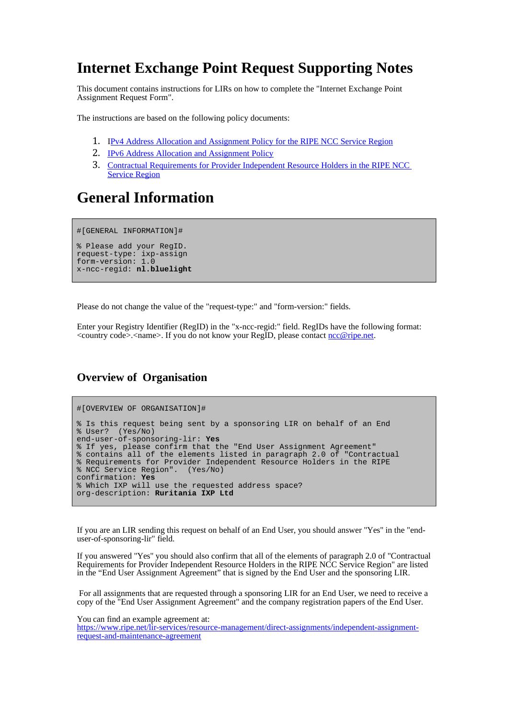# **Internet Exchange Point Request Supporting Notes**

This document contains instructions for LIRs on how to complete the "Internet Exchange Point Assignment Request Form".

The instructions are based on the following policy documents:

- 1. [I Pv4 Address Allocation and Assignment Policy for the RIPE NCC Service Region](http://www.ripe.net/ripe/docs/ipv4-policies.html)
- 2. **IPv6 Address Allocation and Assignment Policy**
- 3. [Contractual Requirements for Provider Independent Resource Holders in the RIPE NCC](http://www.ripe.net/ripe/docs/contract-req)  [Service Region](http://www.ripe.net/ripe/docs/contract-req)

## **General Information**

#[GENERAL INFORMATION]#

% Please add your RegID. request-type: ixp-assign form-version: 1.0 x-ncc-regid: **nl.bluelight**

Please do not change the value of the "request-type:" and "form-version:" fields.

Enter your Registry Identifier (RegID) in the "x-ncc-regid:" field. RegIDs have the following format:  $\leq$  country code>.  $\leq$  name>. If you do not know your RegID, please contact [ncc@ripe.net.](mailto:ncc@ripe.net)

### **Overview of Organisation**

```
#[OVERVIEW OF ORGANISATION]#
% Is this request being sent by a sponsoring LIR on behalf of an End
% User? (Yes/No)
end-user-of-sponsoring-lir: Yes
% If yes, please confirm that the "End User Assignment Agreement"
% contains all of the elements listed in paragraph 2.0 of "Contractual
% Requirements for Provider Independent Resource Holders in the RIPE
% NCC Service Region". (Yes/No)
confirmation: Yes
% Which IXP will use the requested address space?
org-description: Ruritania IXP Ltd
```
If you are an LIR sending this request on behalf of an End User, you should answer "Yes" in the "enduser-of-sponsoring-lir" field.

If you answered "Yes" you should also confirm that all of the elements of paragraph 2.0 of "Contractual Requirements for Provider Independent Resource Holders in the RIPE NCC Service Region" are listed in the "End User Assignment Agreement" that is signed by the End User and the sponsoring LIR.

For all assignments that are requested through a sponsoring LIR for an End User, we need to receive a copy of the "End User Assignment Agreement" and the company registration papers of the End User.

You can find an example agreement at:

[https://www.ripe.net/lir-services/resource-management/direct-assignments/independent-assignment](https://www.ripe.net/ripe/docs/resolveuid/391df1203f5f7d0cf5f62b4d65424e23)[request-and-maintenance-agreement](https://www.ripe.net/ripe/docs/resolveuid/391df1203f5f7d0cf5f62b4d65424e23)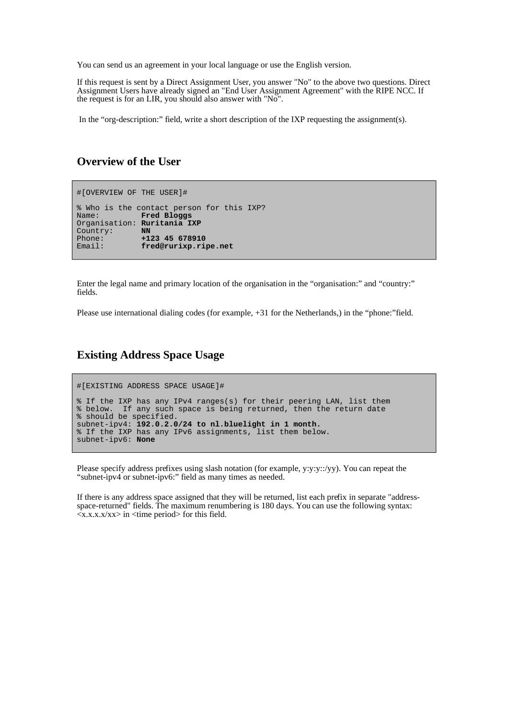You can send us an agreement in your local language or use the English version.

If this request is sent by a Direct Assignment User, you answer "No" to the above two questions. Direct Assignment Users have already signed an "End User Assignment Agreement" with the RIPE NCC. If the request is for an LIR, you should also answer with "No".

In the "org-description:" field, write a short description of the IXP requesting the assignment(s).

#### **Overview of the User**

```
#[OVERVIEW OF THE USER]#
% Who is the contact person for this IXP?
Name: Fred Bloggs
Organisation: Ruritania IXP
Country:<br>Phone:
Phone: +123 45 678910
              Email: fred@rurixp.ripe.net
```
Enter the legal name and primary location of the organisation in the "organisation:" and "country:" fields.

Please use international dialing codes (for example, +31 for the Netherlands,) in the "phone:"field.

#### **Existing Address Space Usage**

```
#[EXISTING ADDRESS SPACE USAGE]#
% If the IXP has any IPv4 ranges(s) for their peering LAN, list them
% below. If any such space is being returned, then the return date
% should be specified.
subnet-ipv4: 192.0.2.0/24 to nl.bluelight in 1 month.
% If the IXP has any IPv6 assignments, list them below.
subnet-ipv6: None
```
Please specify address prefixes using slash notation (for example, y:y:y::/yy). You can repeat the "subnet-ipv4 or subnet-ipv6:" field as many times as needed.

If there is any address space assigned that they will be returned, list each prefix in separate "addressspace-returned" fields. The maximum renumbering is 180 days. You can use the following syntax:  $\langle x.x.x.x/xx \rangle$  in  $\langle x \rangle$  time period for this field.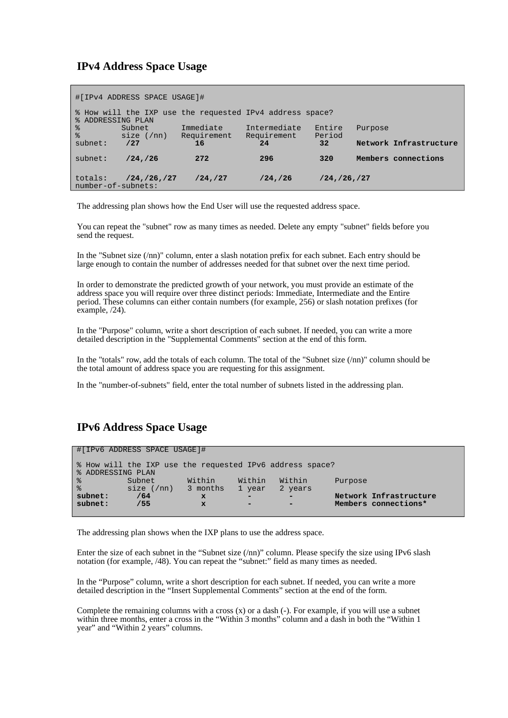### **IPv4 Address Space Usage**

| #[IPv4 ADDRESS SPACE USAGE]#                                                  |                       |             |              |                 |         |                        |  |  |  |  |  |
|-------------------------------------------------------------------------------|-----------------------|-------------|--------------|-----------------|---------|------------------------|--|--|--|--|--|
| % How will the IXP use the requested IPv4 address space?<br>% ADDRESSING PLAN |                       |             |              |                 |         |                        |  |  |  |  |  |
| ႜ                                                                             | Subnet                | Immediate   | Intermediate | Entire          | Purpose |                        |  |  |  |  |  |
| $\approx$                                                                     | size (m)              | Requirement | Requirement  | Period          |         |                        |  |  |  |  |  |
| subnet:                                                                       | /27                   | 16          | 24           | 32 <sup>2</sup> |         | Network Infrastructure |  |  |  |  |  |
| subnet:                                                                       | /24/26                | 272         | 296          | 320             |         | Members connections    |  |  |  |  |  |
| totals:<br>number-of-subnets:                                                 | $/24$ , $/26$ , $/27$ | /24, /27    | /24, /26     | /24, /26, /27   |         |                        |  |  |  |  |  |

The addressing plan shows how the End User will use the requested address space.

You can repeat the "subnet" row as many times as needed. Delete any empty "subnet" fields before you send the request.

In the "Subnet size (/nn)" column, enter a slash notation prefix for each subnet. Each entry should be large enough to contain the number of addresses needed for that subnet over the next time period.

In order to demonstrate the predicted growth of your network, you must provide an estimate of the address space you will require over three distinct periods: Immediate, Intermediate and the Entire period. These columns can either contain numbers (for example, 256) or slash notation prefixes (for example, /24).

In the "Purpose" column, write a short description of each subnet. If needed, you can write a more detailed description in the "Supplemental Comments" section at the end of this form.

In the "totals" row, add the totals of each column. The total of the "Subnet size (/nn)" column should be the total amount of address space you are requesting for this assignment.

In the "number-of-subnets" field, enter the total number of subnets listed in the addressing plan.

## **IPv6 Address Space Usage**

| #[IPv6 ADDRESS SPACE USAGE]#                                                  |          |              |                          |         |         |                        |  |  |  |  |  |
|-------------------------------------------------------------------------------|----------|--------------|--------------------------|---------|---------|------------------------|--|--|--|--|--|
| % How will the IXP use the requested IPv6 address space?<br>% ADDRESSING PLAN |          |              |                          |         |         |                        |  |  |  |  |  |
| ႜ                                                                             | Subnet   | Within       | Within                   | Within  | Purpose |                        |  |  |  |  |  |
| $\frac{8}{6}$                                                                 | size (m) | 3 months     | 1 year                   | 2 years |         |                        |  |  |  |  |  |
| subnet:                                                                       | /64      | $\mathbf{x}$ |                          |         |         | Network Infrastructure |  |  |  |  |  |
| subnet:                                                                       | /55      | $\mathbf{x}$ | $\overline{\phantom{0}}$ |         |         | Members connections*   |  |  |  |  |  |
|                                                                               |          |              |                          |         |         |                        |  |  |  |  |  |

The addressing plan shows when the IXP plans to use the address space.

Enter the size of each subnet in the "Subnet size (/nn)" column. Please specify the size using IPv6 slash notation (for example, /48). You can repeat the "subnet:" field as many times as needed.

In the "Purpose" column, write a short description for each subnet. If needed, you can write a more detailed description in the "Insert Supplemental Comments" section at the end of the form.

Complete the remaining columns with a cross  $(x)$  or a dash  $(-)$ . For example, if you will use a subnet within three months, enter a cross in the "Within 3 months" column and a dash in both the "Within 1" year" and "Within 2 years" columns.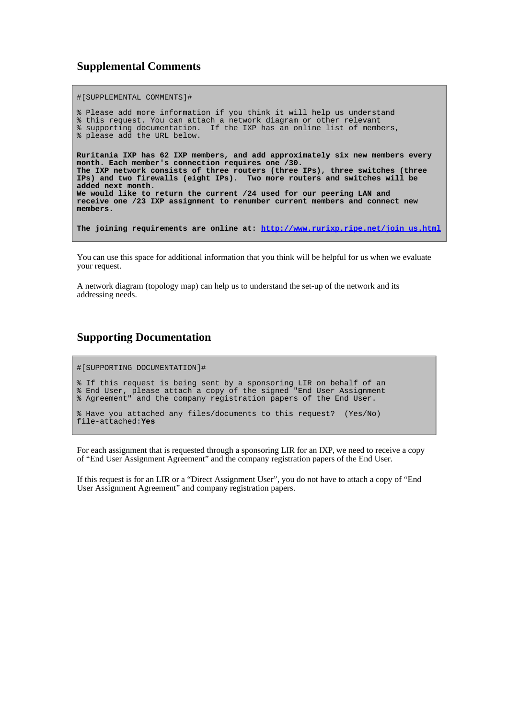### **Supplemental Comments**

#[SUPPLEMENTAL COMMENTS]#

% Please add more information if you think it will help us understand % this request. You can attach a network diagram or other relevant % supporting documentation. If the IXP has an online list of members, % please add the URL below. **Ruritania IXP has 62 IXP members, and add approximately six new members every month. Each member's connection requires one /30. The IXP network consists of three routers (three IPs), three switches (three IPs) and two firewalls (eight IPs). Two more routers and switches will be added next month. We would like to return the current /24 used for our peering LAN and receive one /23 IXP assignment to renumber current members and connect new members. The joining requirements are online at: [http://www.rurixp.ripe.net/join\\_us.html](http://www.rurixp.ripe.net/join_us.html)**

You can use this space for additional information that you think will be helpful for us when we evaluate your request.

A network diagram (topology map) can help us to understand the set-up of the network and its addressing needs.

### **Supporting Documentation**

#[SUPPORTING DOCUMENTATION]#

% If this request is being sent by a sponsoring LIR on behalf of an % End User, please attach a copy of the signed "End User Assignment % Agreement" and the company registration papers of the End User.

% Have you attached any files/documents to this request? (Yes/No) file-attached:**Yes**

For each assignment that is requested through a sponsoring LIR for an IXP, we need to receive a copy of "End User Assignment Agreement" and the company registration papers of the End User.

If this request is for an LIR or a "Direct Assignment User", you do not have to attach a copy of "End User Assignment Agreement" and company registration papers.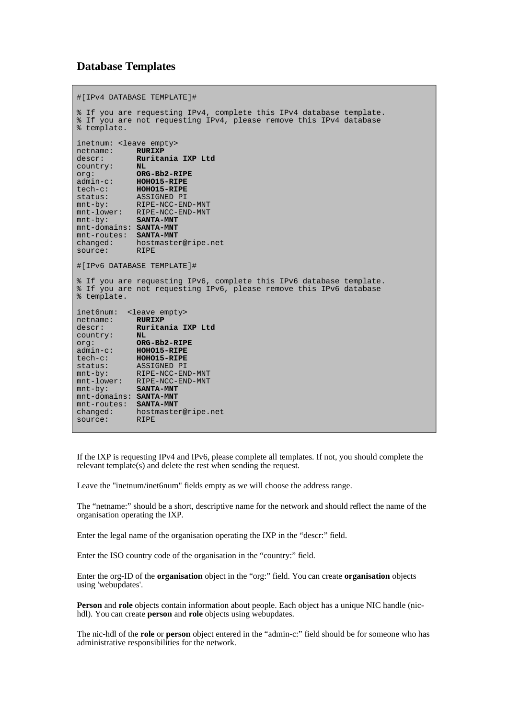#### **Database Templates**

```
#[IPv4 DATABASE TEMPLATE]#
% If you are requesting IPv4, complete this IPv4 database template.
% If you are not requesting IPv4, please remove this IPv4 database
% template.
inetnum: <leave empty>
netname: RURIXP
descr: Ruritania IXP Ltd
country: NL<br>org: ORG-Bb2-RIPE
org: ORG-Bb2-RIPE
admin-c: HOHO15-RIPE
tech-c: HOHO15-RIPE
status: ASSIGNED PI
status: ASSIGNED PI<br>mnt-by: RIPE-NCC-END-MNT<br>mnt-little: RIPE-NCC-END-MNT
mnt-lower: RIPE-NCC-END-MNT<br>mnt-by: SANTA-MNT
              SANTA-MNT
mnt-domains: SANTA-MNT
mnt-routes: SANTA-MNT
              hostmaster@ripe.net
mnt-row<br>changed: host.<br>RIPE
#[IPv6 DATABASE TEMPLATE]#
% If you are requesting IPv6, complete this IPv6 database template.
% If you are not requesting IPv6, please remove this IPv6 database
% template.
inet6num: <leave empty><br>netname: RURIXP
netname: RURIXP
descr: Ruritania IXP Ltd
country: NL
org: ORG-Bb2-RIPE<br>admin-c: HOHO15-RIPE
            admin-c: HOHO15-RIPE
tech-c: HOHO15-RIPE
status: ASSIGNED PI
mnt-by: RIPE-NCC-END-MNT
mnt-lower: RIPE-NCC-END-MNT
mnt-by: SANTA-MNT
mnt-domains: SANTA-MNT
mnt-routes: SANTA-MNT
              hostmaster@ripe.net
mnt-rouse.<br>changed: hosti<br>source: RIPE
```
If the IXP is requesting IPv4 and IPv6, please complete all templates. If not, you should complete the relevant template(s) and delete the rest when sending the request.

Leave the "inetnum/inet6num" fields empty as we will choose the address range.

The "netname:" should be a short, descriptive name for the network and should reflect the name of the organisation operating the IXP.

Enter the legal name of the organisation operating the IXP in the "descr:" field.

Enter the ISO country code of the organisation in the "country:" field.

Enter the org-ID of the **organisation** object in the "org:" field. You can create **organisation** objects using 'webupdates'.

**Person** and **role** objects contain information about people. Each object has a unique NIC handle (nichdl). You can create **person** and **role** objects using webupdates.

The nic-hdl of the **role** or **person** object entered in the "admin-c:" field should be for someone who has administrative responsibilities for the network.